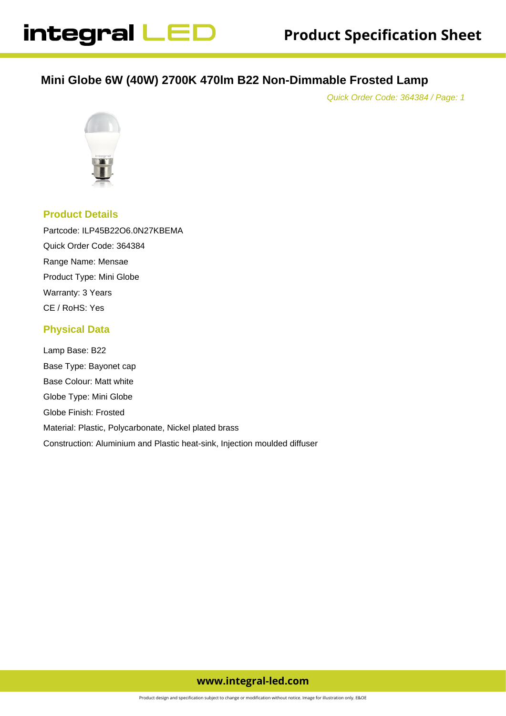# **Mini Globe 6W (40W) 2700K 470lm B22 Non-Dimmable Frosted Lamp**

Quick Order Code: 364384 / Page: 1



#### **Product Details**

Partcode: ILP45B22O6.0N27KBEMA Quick Order Code: 364384 Range Name: Mensae Product Type: Mini Globe Warranty: 3 Years CE / RoHS: Yes

#### **Physical Data**

Lamp Base: B22 Base Type: Bayonet cap Base Colour: Matt white Globe Type: Mini Globe Globe Finish: Frosted Material: Plastic, Polycarbonate, Nickel plated brass Construction: Aluminium and Plastic heat-sink, Injection moulded diffuser

## **www.integral-led.com**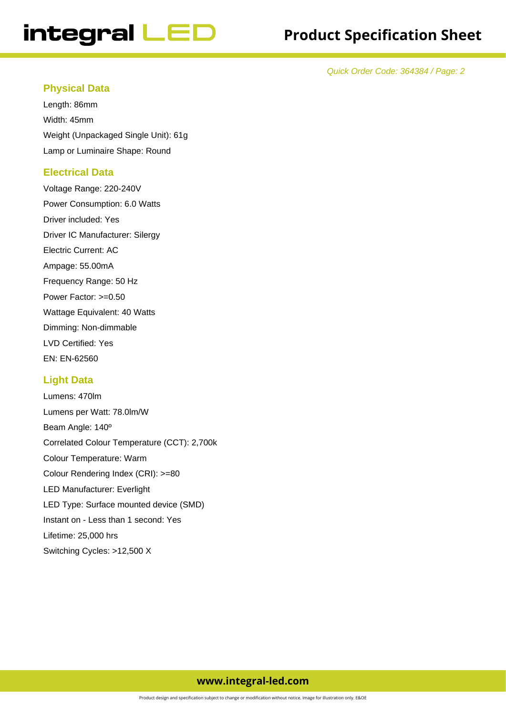# integral LED

Quick Order Code: 364384 / Page: 2

#### **Physical Data**

Length: 86mm Width: 45mm Weight (Unpackaged Single Unit): 61g Lamp or Luminaire Shape: Round

#### **Electrical Data**

Voltage Range: 220-240V Power Consumption: 6.0 Watts Driver included: Yes Driver IC Manufacturer: Silergy Electric Current: AC Ampage: 55.00mA Frequency Range: 50 Hz Power Factor: >=0.50 Wattage Equivalent: 40 Watts Dimming: Non-dimmable LVD Certified: Yes EN: EN-62560

#### **Light Data**

Lumens: 470lm Lumens per Watt: 78.0lm/W Beam Angle: 140º Correlated Colour Temperature (CCT): 2,700k Colour Temperature: Warm Colour Rendering Index (CRI): >=80 LED Manufacturer: Everlight LED Type: Surface mounted device (SMD) Instant on - Less than 1 second: Yes Lifetime: 25,000 hrs Switching Cycles: >12,500 X

### **www.integral-led.com**